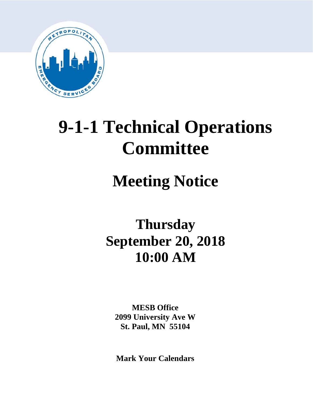

# **9-1-1 Technical Operations Committee**

# **Meeting Notice**

# **Thursday September 20, 2018 10:00 AM**

**MESB Office 2099 University Ave W St. Paul, MN 55104**

**Mark Your Calendars**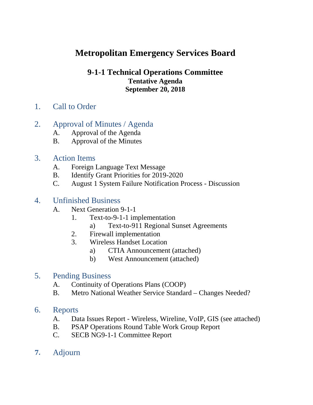# **Metropolitan Emergency Services Board**

## **9-1-1 Technical Operations Committee Tentative Agenda September 20, 2018**

1. Call to Order

# 2. Approval of Minutes / Agenda

- A. Approval of the Agenda
- B. Approval of the Minutes

## 3. Action Items

- A. Foreign Language Text Message
- B. Identify Grant Priorities for 2019-2020
- C. August 1 System Failure Notification Process Discussion

# 4. Unfinished Business

- A. Next Generation 9-1-1
	- 1. Text-to-9-1-1 implementation
		- a) Text-to-911 Regional Sunset Agreements
	- 2. Firewall implementation
	- 3. Wireless Handset Location
		- a) CTIA Announcement (attached)
		- b) West Announcement (attached)

## 5. Pending Business

- A. Continuity of Operations Plans (COOP)
- B. Metro National Weather Service Standard Changes Needed?

## 6. Reports

- A. Data Issues Report Wireless, Wireline, VoIP, GIS (see attached)
- B. PSAP Operations Round Table Work Group Report
- C. SECB NG9-1-1 Committee Report
- **7.** Adjourn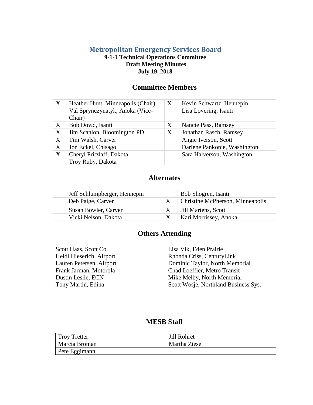#### **Metropolitan Emergency Services Board**

#### **9-1-1 Technical Operations Committee Draft Meeting Minutes July 19, 2018**

#### **Committee Members**

| $\boldsymbol{\mathrm{X}}$ | Heather Hunt, Minneapolis (Chair)         | X | Kevin Schwartz, Hennepin     |
|---------------------------|-------------------------------------------|---|------------------------------|
|                           | Val Sprynczynatyk, Anoka (Vice-<br>Chair) |   | Lisa Lovering, Isanti        |
| X                         | Bob Dowd, Isanti                          | X | Nancie Pass, Ramsey          |
| X                         | Jim Scanlon, Bloomington PD               | X | Jonathan Rasch, Ramsey       |
| X                         | Tim Walsh, Carver                         |   | Angie Iverson, Scott         |
| X                         | Jon Eckel, Chisago                        |   | Darlene Pankonie, Washington |
| X                         | Cheryl Pritzlaff, Dakota                  |   | Sara Halverson, Washington   |
|                           | Troy Ruby, Dakota                         |   |                              |

#### **Alternates**

| Jeff Schlumpberger, Hennepin | Bob Shogren, Isanti              |
|------------------------------|----------------------------------|
| Deb Paige, Carver            | Christine McPherson, Minneapolis |
| Susan Bowler, Carver         | Jill Martens, Scott              |
| Vicki Nelson, Dakota         | Kari Morrissey, Anoka            |

#### **Others Attending**

Scott Haas, Scott Co. Lisa Vik, Eden Prairie

Heidi Hieserich, Airport Rhonda Criss, CenturyLink Lauren Petersen, Airport Dominic Taylor, North Memorial Frank Jarman, Motorola Chad Loeffler, Metro Transit Dustin Leslie, ECN Mike Melby, North Memorial Tony Martin, Edina Scott Wosje, Northland Business Sys.

#### **MESB Staff**

| <b>Troy Tretter</b> | Jill Rohret  |
|---------------------|--------------|
| Marcia Broman       | Martha Ziese |
| Pete Eggimann       |              |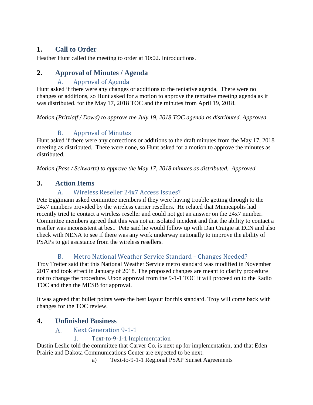# **1. Call to Order**

Heather Hunt called the meeting to order at 10:02. Introductions.

## **2. Approval of Minutes / Agenda**

#### A. Approval of Agenda

Hunt asked if there were any changes or additions to the tentative agenda. There were no changes or additions, so Hunt asked for a motion to approve the tentative meeting agenda as it was distributed. for the May 17, 2018 TOC and the minutes from April 19, 2018.

*Motion (Pritzlaff / Dowd) to approve the July 19, 2018 TOC agenda as distributed. Approved*

#### B. Approval of Minutes

Hunt asked if there were any corrections or additions to the draft minutes from the May 17, 2018 meeting as distributed. There were none, so Hunt asked for a motion to approve the minutes as distributed.

*Motion (Pass / Schwartz) to approve the May 17, 2018 minutes as distributed. Approved.*

#### **3. Action Items**

#### A. Wireless Reseller 24x7 Access Issues?

Pete Eggimann asked committee members if they were having trouble getting through to the 24x7 numbers provided by the wireless carrier resellers. He related that Minneapolis had recently tried to contact a wireless reseller and could not get an answer on the 24x7 number. Committee members agreed that this was not an isolated incident and that the ability to contact a reseller was inconsistent at best. Pete said he would follow up with Dan Craigie at ECN and also check with NENA to see if there was any work underway nationally to improve the ability of PSAPs to get assistance from the wireless resellers.

## B. Metro National Weather Service Standard – Changes Needed?

Troy Tretter said that this National Weather Service metro standard was modified in November 2017 and took effect in January of 2018. The proposed changes are meant to clarify procedure not to change the procedure. Upon approval from the 9-1-1 TOC it will proceed on to the Radio TOC and then the MESB for approval.

It was agreed that bullet points were the best layout for this standard. Troy will come back with changes for the TOC review.

#### **4. Unfinished Business**

#### Next Generation 9-1-1  $A<sub>1</sub>$

#### 1. Text-to-9-1-1 Implementation

Dustin Leslie told the committee that Carver Co. is next up for implementation, and that Eden Prairie and Dakota Communications Center are expected to be next.

a) Text-to-9-1-1 Regional PSAP Sunset Agreements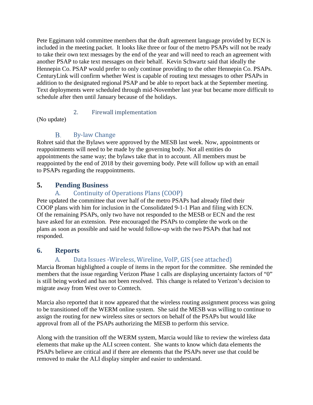Pete Eggimann told committee members that the draft agreement language provided by ECN is included in the meeting packet. It looks like three or four of the metro PSAPs will not be ready to take their own text messages by the end of the year and will need to reach an agreement with another PSAP to take text messages on their behalf. Kevin Schwartz said that ideally the Hennepin Co. PSAP would prefer to only continue providing to the other Hennepin Co. PSAPs. CenturyLink will confirm whether West is capable of routing text messages to other PSAPs in addition to the designated regional PSAP and be able to report back at the September meeting. Text deployments were scheduled through mid-November last year but became more difficult to schedule after then until January because of the holidays.

#### 2. Firewall implementation

(No update)

#### $B<sub>1</sub>$ By-law Change

Rohret said that the Bylaws were approved by the MESB last week. Now, appointments or reappointments will need to be made by the governing body. Not all entities do appointments the same way; the bylaws take that in to account. All members must be reappointed by the end of 2018 by their governing body. Pete will follow up with an email to PSAPs regarding the reappointments.

#### **5. Pending Business**

#### A. Continuity of Operations Plans (COOP)

Pete updated the committee that over half of the metro PSAPs had already filed their COOP plans with him for inclusion in the Consolidated 9-1-1 Plan and filing with ECN. Of the remaining PSAPs, only two have not responded to the MESB or ECN and the rest have asked for an extension. Pete encouraged the PSAPs to complete the work on the plans as soon as possible and said he would follow-up with the two PSAPs that had not responded.

## **6. Reports**

## A. Data Issues -Wireless, Wireline, VoIP, GIS (see attached)

Marcia Broman highlighted a couple of items in the report for the committee. She reminded the members that the issue regarding Verizon Phase 1 calls are displaying uncertainty factors of "0" is still being worked and has not been resolved. This change is related to Verizon's decision to migrate away from West over to Comtech.

Marcia also reported that it now appeared that the wireless routing assignment process was going to be transitioned off the WERM online system. She said the MESB was willing to continue to assign the routing for new wireless sites or sectors on behalf of the PSAPs but would like approval from all of the PSAPs authorizing the MESB to perform this service.

Along with the transition off the WERM system, Marcia would like to review the wireless data elements that make up the ALI screen content. She wants to know which data elements the PSAPs believe are critical and if there are elements that the PSAPs never use that could be removed to make the ALI display simpler and easier to understand.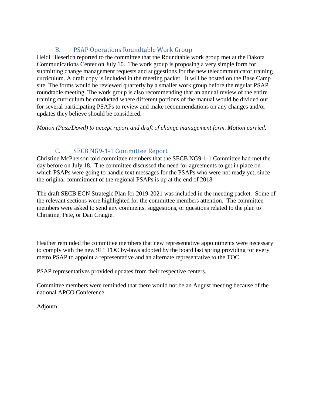#### B. PSAP Operations Roundtable Work Group

Heidi Hieserich reported to the committee that the Roundtable work group met at the Dakota Communications Center on July 10. The work group is proposing a very simple form for submitting change management requests and suggestions for the new telecommunicator training curriculum. A draft copy is included in the meeting packet. It will be hosted on the Base Camp site. The forms would be reviewed quarterly by a smaller work group before the regular PSAP roundtable meeting. The work group is also recommending that an annual review of the entire training curriculum be conducted where different portions of the manual would be divided out for several participating PSAPs to review and make recommendations on any changes and/or updates they believe should be considered.

*Motion (Pass/Dowd) to accept report and draft of change management form. Motion carried.*

#### C. SECB NG9-1-1 Committee Report

Christine McPherson told committee members that the SECB NG9-1-1 Committee had met the day before on July 18. The committee discussed the need for agreements to get in place on which PSAPs were going to handle text messages for the PSAPs who were not ready yet, since the original commitment of the regional PSAPs is up at the end of 2018.

The draft SECB ECN Strategic Plan for 2019-2021 was included in the meeting packet. Some of the relevant sections were highlighted for the committee members attention. The committee members were asked to send any comments, suggestions, or questions related to the plan to Christine, Pete, or Dan Craigie.

Heather reminded the committee members that new representative appointments were necessary to comply with the new 911 TOC by-laws adopted by the board last spring providing for every metro PSAP to appoint a representative and an alternate representative to the TOC.

PSAP representatives provided updates from their respective centers.

Committee members were reminded that there would not be an August meeting because of the national APCO Conference.

Adjourn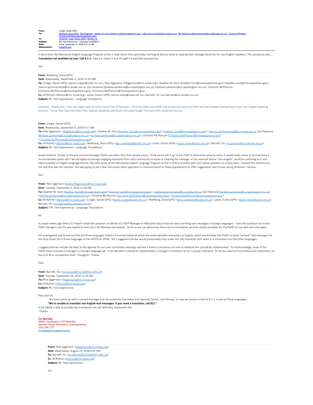| From:        | Craigie, Daniel (DPS)                                                                                                                                                                                 |
|--------------|-------------------------------------------------------------------------------------------------------------------------------------------------------------------------------------------------------|
| To:          | Wahlberg, Dana (DPS); Pete Eggimann; Heather M. Hunt (heather.hunt@minneapolismn.gov); Valerie.Sprynczynatyk@co.anoka.mn.us; Dar Pankonie (darlene.pankonie@co.washington.mn.us); Christine McPherson |
|              | (Christine.McPherson@minneapolismn.gov)                                                                                                                                                               |
| Cc:          | Jill Rohret: Leslie, Dustin (DPS): Barnett, Vic                                                                                                                                                       |
| Subject:     | RE: Text Experiences - Language Translations                                                                                                                                                          |
| Date:        | Friday, September 07, 2018 8:31:33 AM                                                                                                                                                                 |
| Attachments: | image001.png                                                                                                                                                                                          |

A team from the Minnesota English Language Program at the U took some time yesterday morning to discuss what an appropriate message would be for non-English speakers. The consensus was: **Translation not available by text. Call 9-1-1.** Take it or leave it, but thought I'd add their perspective.

Dan

#### **From:** Wahlberg, Dana (DPS)

**Sent:** Wednesday, September 5, 2018 11:05 AM

**To:** Craigie, Daniel (DPS) <daniel.craigie@state.mn.us>; Pete Eggimann <PEggimann@mn-mesb.org>; Heather M. Hunt (heather.hunt@minneapolismn.gov) <heather.hunt@minneapolismn.gov>; Valerie.Sprynczynatyk@co.anoka.mn.us; Dar Pankonie (darlene.pankonie@co.washington.mn.us) <darlene.pankonie@co.washington.mn.us>; Christine McPherson

(Christine.McPherson@minneapolismn.gov) <Christine.McPherson@minneapolismn.gov>

**Cc:** Jill Rohret <JRohret@mn-mesb.org>; Leslie, Dustin (DPS) <dustin.leslie@state.mn.us>; Barnett, Vic <vic.barnett@co.ramsey.mn.us>

**Subject:** RE: Text Experiences - Language Translations

Excellent. Thanks Dan. Also, we might want to solicit input from Al Fjersted. I think the Mille Lacs PSAP may be the first and only PSAP who has already received texts from non-English speaking persons. I know they have had texts from Spanish speaking individuals and used Google Translate with moderate success.

#### **From:** Craigie, Daniel (DPS)

**Sent:** Wednesday, September 5, 2018 9:57 AM

**To:** Pete Eggimann <[PEggimann@mn-mesb.org](mailto:PEggimann@mn-mesb.org)>; Heather M. Hunt [\(heather.hunt@minneapolismn.gov](mailto:heather.hunt@minneapolismn.gov)) [<heather.hunt@minneapolismn.gov](mailto:heather.hunt@minneapolismn.gov)>; [Valerie.Sprynczynatyk@co.anoka.mn.us](mailto:Valerie.Sprynczynatyk@co.anoka.mn.us); Dar Pankonie ([darlene.pankonie@co.washington.mn.us](mailto:darlene.pankonie@co.washington.mn.us)) [<darlene.pankonie@co.washington.mn.us](mailto:darlene.pankonie@co.washington.mn.us)>; Christine McPherson ([Christine.McPherson@minneapolismn.gov](mailto:Christine.McPherson@minneapolismn.gov)) <[Christine.McPherson@minneapolismn.gov](mailto:Christine.McPherson@minneapolismn.gov)>

**Cc:** Jill Rohret [<JRohret@mn-mesb.org](mailto:JRohret@mn-mesb.org)>; Wahlberg, Dana (DPS) <[dana.wahlberg@state.mn.us>](mailto:dana.wahlberg@state.mn.us); Leslie, Dustin (DPS) [<dustin.leslie@state.mn.us](mailto:dustin.leslie@state.mn.us)>; Barnett, Vic <[vic.barnett@co.ramsey.mn.us>](mailto:vic.barnett@co.ramsey.mn.us) **Subject:** RE: Text Experiences - Language Translations

Great initiative. Similar to the pre-canned messages PSAPs use when they first receive a text, I think we've left it up to the PSAP to determine what to write. It would make sense to at least have a recommended option and I would highly encourage engaging someone from each community to assist in creating the message. In the example below "non-english" could be confusing to a nonnative speaker or English-language learner. My wife works at the Minnesota English Language Program at the U of M and works with non-native speakers on a daily basis. I passed the sentence by her and that was her reaction. She was going to ask a few instructors (who specialize in communication to these populations) to offer suggestions and I'll pass along whatever I receive.

Dan

#### **From:** Pete Eggimann [\[mailto:PEggimann@mn-mesb.org](mailto:PEggimann@mn-mesb.org)]

#### **Sent:** Tuesday, September 4, 2018 11:58 AM

**To:** Heather M. Hunt [\(heather.hunt@minneapolismn.gov](mailto:heather.hunt@minneapolismn.gov)) <[heather.hunt@minneapolismn.gov](mailto:heather.hunt@minneapolismn.gov)>; [Valerie.Sprynczynatyk@co.anoka.mn.us](mailto:Valerie.Sprynczynatyk@co.anoka.mn.us); Dar Pankonie ([darlene.pankonie@co.washington.mn.us](mailto:darlene.pankonie@co.washington.mn.us)) <[darlene.pankonie@co.washington.mn.us](mailto:darlene.pankonie@co.washington.mn.us)>; Christine McPherson [\(Christine.McPherson@minneapolismn.gov](mailto:Christine.McPherson@minneapolismn.gov)) <[Christine.McPherson@minneapolismn.gov](mailto:Christine.McPherson@minneapolismn.gov)>

**Cc:** Jill Rohret [<JRohret@mn-mesb.org](mailto:JRohret@mn-mesb.org)>; Craigie, Daniel (DPS) <[daniel.craigie@state.mn.us](mailto:daniel.craigie@state.mn.us)>; Wahlberg, Dana (DPS) [<dana.wahlberg@state.mn.us](mailto:dana.wahlberg@state.mn.us)>; Leslie, Dustin (DPS) <[dustin.leslie@state.mn.us](mailto:dustin.leslie@state.mn.us)>; Barnett, Vic [<vic.barnett@co.ramsey.mn.us](mailto:vic.barnett@co.ramsey.mn.us)

**Subject:** FW: Text Experiences - Language Translations

All,

A couple weeks ago Sherry G. Powell raised the question on behalf of a PSAP Manager in Maryland about how we were handling text messages in foreign languages. I sent the question out to the PSAP managers and Vic was tasked to look into it for Ramsey (see below). As far as we can determine there are no translation services readily available for the PSAPs to use with text messages.

Vic investigated and found out that the three languages listed in his email below all utilize the same alphabet characters as English, which would allow the PSAPs to build "canned" text messages for the drop down list in those languages in the VESTA or VIPER. Vic's suggested phrase would presumably stay under the 140 character limit when it is translated into the other languages.

I suggest that we include the topic in the agenda for our next committee meetings and see if there is consensus on how or whether this should be implemented. To my knowledge, none of the PSAPs have received a message in a foreign language yet. If we decided it should be implemented, is Google's translation of Vic's phrase sufficient? Or do we need to find professional interpreters at the U of M or somewhere else? Thoughts? Thanks

Pete

**From:** Barnett, Vic <[vic.barnett@CO.RAMSEY.MN.US>](mailto:vic.barnett@CO.RAMSEY.MN.US) **Sent:** Tuesday, September 04, 2018 11:19 AM **To:** Pete Eggimann <[PEggimann@mn-mesb.org](mailto:PEggimann@mn-mesb.org)> **Cc:** Jill Rohret [<JRohret@mn-mesb.org](mailto:JRohret@mn-mesb.org)> **Subject:** RE: Text Experiences

#### Pete and Jill,

 We have come up with a canned message that we would like translated into Spanish, Somali, and Hmong. In case we receive a text to 9-1-1 in one of these languages. **"We're unable to translate non-English text messages. If you need a translator, call 911."** If the MESB is able to provide the translations we will definitely implement this.

-Thanks

*Vic Barnett*

*MSAG Coordinator | GIS Specialist Ramsey County Emergency Communications (651) 266-7737* [vic.barnett@co.ramsey.mn.us](mailto:vic.barnett@co.ramsey.mn.us)

> **From:** Pete Eggimann [<PEggimann@mn-mesb.org](mailto:PEggimann@mn-mesb.org)> **Sent:** Wednesday, August 29, 2018 9:01 AM To: Barnett, Vic <[vic.barnett@CO.RAMSEY.MN.US>](mailto:vic.barnett@CO.RAMSEY.MN.US) **Cc:** Jill Rohret [<JRohret@mn-mesb.org](mailto:JRohret@mn-mesb.org)> **Subject:** RE: Text Experiences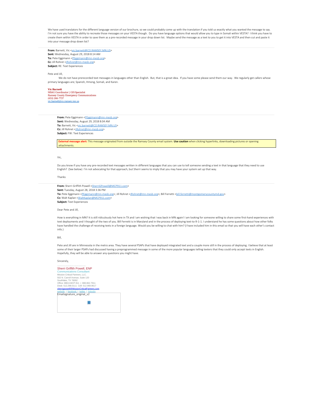We have used translators for the different language version of our brochure, so we could probably come up with the translation if you told us exactly what you wanted the message to say. I'm not sure you have the ability to recreate those messages on your VESTA though. Do you have language options that would allow you to type in Somali within VESTA? I think you have to create them within VESTA in order to save them as a pre-recorded message in your drop down list. Maybe send the message as a text to you to get it into VESTA and then cut and paste it into your message drop down list?

**From:** Barnett, Vic [<vic.barnett@CO.RAMSEY.MN.US](mailto:vic.barnett@CO.RAMSEY.MN.US)> **Sent:** Wednesday, August 29, 2018 8:14 AM To: Pete Eggimann [<PEggimann@mn-mesb.org](mailto:PEggimann@mn-mesb.org)> **Cc:** Jill Rohret [<JRohret@mn-mesb.org](mailto:JRohret@mn-mesb.org)> **Subject:** RE: Text Experiences

#### Pete and Jill,

We do not have prerecorded text messages in languages other than English. But, that is a great idea. If you have some please send them our way. We regularly get callers whose primary languages are; Spanish, Hmong, Somali, and Karen.

#### *Vic Barnett*

*MSAG Coordinator | GIS Specialist Ramsey County Emergency Communications (651) 266-7737* [vic.barnett@co.ramsey.mn.us](mailto:vic.barnett@co.ramsey.mn.us)

> From: Pete Eggimann <**PEggimann@mn-mesb.org> Sent:** Wednesday, August 29, 2018 8:04 AM To: Barnett, Vic [<vic.barnett@CO.RAMSEY.MN.US](mailto:vic.barnett@CO.RAMSEY.MN.US)> **Cc:** Jill Rohret [<JRohret@mn-mesb.org](mailto:JRohret@mn-mesb.org)> **Subject:** FW: Text Experiences

**External message alert:** This message originated from outside the Ramsey County email system. **Use caution** when clicking hyperlinks, downloading pictures or opening attachments.

#### Vic,

Do you know if you have any pre-recorded text messages written in different languages that you can use to tell someone sending a text in that language that they need to use English? (See below) I'm not advocating for that approach, but Sherri seems to imply that you may have your system set up that way.

#### Thanks

**From:** Sherri Griffith Powell [<SherriGPowell@MCP911.com](mailto:SherriGPowell@MCP911.com)> **Sent:** Tuesday, August 28, 2018 3:36 PM To: Pete Eggimann [<PEggimann@mn-mesb.org](mailto:PEggimann@mn-mesb.org)>; Jill Rohret [<JRohret@mn-mesb.org](mailto:JRohret@mn-mesb.org)>; Bill Ferretti <br/>
<br/>
<br/>
<br/>
<br/>
Fo: Pete Eggimann <PEggimann@mn-mesb.org>; Jill Rohret <<br/>
<br/>
<br/>
<br/>
<br/>
<br/>
<br/>
<b **Cc:** Walt Kaplan <[WaltKaplan@MCP911.com>](mailto:WaltKaplan@MCP911.com) **Subject:** Text Experiences

#### Dear Pete and Jill,

How is everything in MN? It is still ridiculously hot here in TX and I am wishing that I was back in MN again! I am looking for someone willing to share some first-hand experiences with text deployments and I thought of the two of you. Bill Ferretti is in Maryland and in the process of deploying text-to-9-1-1. I understand he has some questions about how other folks have handled the challenge of receiving texts in a foreign language. Would you be willing to chat with him? (I have included him in this email so that you will have each other's contact info.)

#### Bill,

Pete and Jill are in Minnesota in the metro area. They have several PSAPs that have deployed integrated text and a couple more still in the process of deploying. I believe that at least some of their larger PSAPs had discussed having a preprogrammed message in some of the more popular languages telling texters that they could only accept texts in English. Hopefully, they will be able to answer any questions you might have.

#### Sincerely,

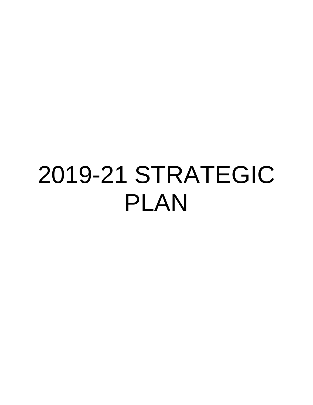# 2019-21 STRATEGIC PLAN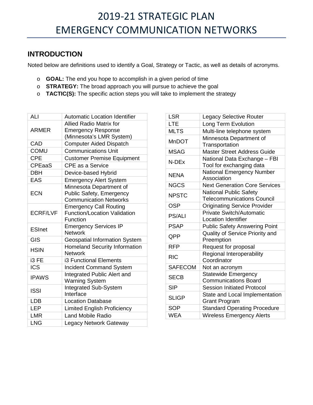# **INTRODUCTION**

Noted below are definitions used to identify a Goal, Strategy or Tactic, as well as details of acronyms.

- o **GOAL:** The end you hope to accomplish in a given period of time
- o **STRATEGY:** The broad approach you will pursue to achieve the goal
- o **TACTIC(S):** The specific action steps you will take to implement the strategy

| ALI             | <b>Automatic Location Identifier</b>                   |
|-----------------|--------------------------------------------------------|
|                 | <b>Allied Radio Matrix for</b>                         |
| <b>ARMER</b>    | <b>Emergency Response</b>                              |
|                 | (Minnesota's LMR System)                               |
| CAD             | <b>Computer Aided Dispatch</b>                         |
| <b>COMU</b>     | <b>Communications Unit</b>                             |
| <b>CPE</b>      | <b>Customer Premise Equipment</b>                      |
| <b>CPEaaS</b>   | <b>CPE as a Service</b>                                |
| <b>DBH</b>      | Device-based Hybrid                                    |
| <b>EAS</b>      | <b>Emergency Alert System</b>                          |
|                 | Minnesota Department of                                |
| <b>ECN</b>      | Public Safety, Emergency                               |
|                 | <b>Communication Networks</b>                          |
|                 | <b>Emergency Call Routing</b>                          |
| <b>ECRF/LVF</b> | <b>Function/Location Validation</b>                    |
|                 | Function                                               |
| <b>ESInet</b>   | <b>Emergency Services IP</b>                           |
|                 | <b>Network</b>                                         |
| <b>GIS</b>      | <b>Geospatial Information System</b>                   |
| <b>HSIN</b>     | <b>Homeland Security Information</b><br><b>Network</b> |
| i3 FE           | <b>i3 Functional Elements</b>                          |
| <b>ICS</b>      | <b>Incident Command System</b>                         |
| <b>IPAWS</b>    | Integrated Public Alert and                            |
|                 | <b>Warning System</b>                                  |
| <b>ISSI</b>     | <b>Integrated Sub-System</b>                           |
|                 | Interface                                              |
| <b>LDB</b>      | <b>Location Database</b>                               |
| <b>LEP</b>      | <b>Limited English Proficiency</b>                     |
| <b>LMR</b>      | <b>Land Mobile Radio</b>                               |
| <b>LNG</b>      | Legacy Network Gateway                                 |

| <b>LSR</b>     | <b>Legacy Selective Router</b>                                     |
|----------------|--------------------------------------------------------------------|
| LTE            | Long Term Evolution                                                |
| <b>MLTS</b>    | Multi-line telephone system                                        |
| MnDOT          | Minnesota Department of<br>Transportation                          |
| MSAG           | <b>Master Street Address Guide</b>                                 |
| N-DEx          | National Data Exchange - FBI<br>Tool for exchanging data           |
| <b>NENA</b>    | <b>National Emergency Number</b><br>Association                    |
| <b>NGCS</b>    | <b>Next Generation Core Services</b>                               |
| <b>NPSTC</b>   | <b>National Public Safety</b><br><b>Telecommunications Council</b> |
| <b>OSP</b>     | <b>Originating Service Provider</b>                                |
| <b>PS/ALI</b>  | <b>Private Switch/Automatic</b><br><b>Location Identifier</b>      |
| <b>PSAP</b>    | <b>Public Safety Answering Point</b>                               |
| QPP            | Quality of Service Priority and<br>Preemption                      |
| <b>RFP</b>     | Request for proposal                                               |
| <b>RIC</b>     | Regional Interoperability<br>Coordinator                           |
| <b>SAFECOM</b> | Not an acronym                                                     |
| <b>SECB</b>    | <b>Statewide Emergency</b><br><b>Communications Board</b>          |
| <b>SIP</b>     | <b>Session Initiated Protocol</b>                                  |
| <b>SLIGP</b>   | State and Local Implementation<br><b>Grant Program</b>             |
| <b>SOP</b>     | <b>Standard Operating Procedure</b>                                |
| <b>WEA</b>     | <b>Wireless Emergency Alerts</b>                                   |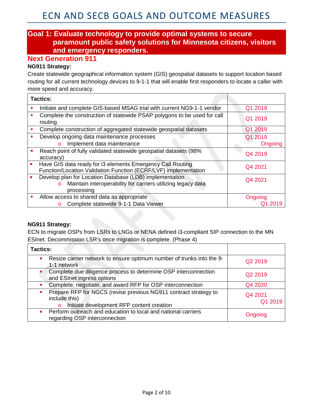#### **Goal 1: Evaluate technology to provide optimal systems to secure paramount public safety solutions for Minnesota citizens, visitors and emergency responders.**

#### **Next Generation 911**

#### **NG911 Strategy:**

Create statewide geographical information system (GIS) geospatial datasets to support location based routing for all current technology devices to 9-1-1 that will enable first responders to locate a caller with more speed and accuracy.

| <b>Tactics:</b>                                                                                                                                  |         |
|--------------------------------------------------------------------------------------------------------------------------------------------------|---------|
| Initiate and complete GIS-based MSAG trial with current NG9-1-1 vendor                                                                           | Q1 2019 |
| Complete the construction of statewide PSAP polygons to be used for call<br>routing                                                              | Q1 2019 |
| Complete construction of aggregated statewide geospatial datasets                                                                                | Q1 2019 |
| Develop ongoing data maintenance processes                                                                                                       | Q1 2019 |
| Implement data maintenance<br>$\circ$                                                                                                            | Ongoing |
| Reach point of fully validated statewide geospatial datasets (98%)<br>accuracy)                                                                  | Q4 2019 |
| Have GIS data ready for i3 elements Emergency Call Routing<br>Function/Location Validation Function (ECRF/LVF) implementation                    | Q4 2021 |
| Develop plan for Location Database (LDB) implementation<br>Maintain interoperability for carriers utilizing legacy data<br>$\circ$<br>processing | Q4 2021 |
| Allow access to shared data as appropriate                                                                                                       | Ongoing |
| Complete statewide 9-1-1 Data Viewer<br>$\circ$                                                                                                  |         |

#### **NG911 Strategy:**

ECN to migrate OSPs from LSRs to LNGs or NENA defined i3-compliant SIP connection to the MN ESInet. Decommission LSR's once migration is complete. (Phase 4)

| <b>Tactics:</b>                                                                                                                                             |                    |
|-------------------------------------------------------------------------------------------------------------------------------------------------------------|--------------------|
| Resize carrier network to ensure optimum number of trunks into the 9-<br>$\mathcal{L}_{\mathcal{A}}$<br>1-1 network                                         | Q2 2019            |
| Complete due diligence process to determine OSP interconnection<br>and ESInet ingress options                                                               | Q2 2019            |
| Complete, negotiate, and award RFP for OSP interconnection<br>$\blacksquare$                                                                                | Q4 2020            |
| Prepare RFP for NGCS (revise previous NG911 contract strategy to<br>$\blacksquare$<br>include this)<br>Initiate development RFP content creation<br>$\circ$ | Q4 2021<br>Q1 2019 |
| Perform outreach and education to local and national carriers<br>regarding OSP interconnection                                                              | Ongoing            |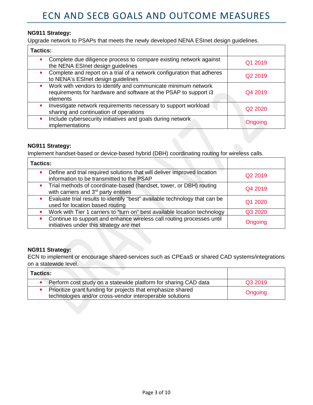#### **NG911 Strategy:**

Upgrade network to PSAPs that meets the newly developed NENA ESInet design guidelines.

| <b>Tactics:</b>                                                                                                                               |                                 |
|-----------------------------------------------------------------------------------------------------------------------------------------------|---------------------------------|
| Complete due diligence process to compare existing network against<br>the NENA ESInet design guidelines                                       | Q1 2019                         |
| Complete and report on a trial of a network configuration that adheres<br>to NENA's ESInet design guidelines                                  | Q <sub>2</sub> 2019             |
| Work with vendors to identify and communicate minimum network<br>requirements for hardware and software at the PSAP to support i3<br>elements | Q4 2019                         |
| Investigate network requirements necessary to support workload<br>sharing and continuation of operations                                      | Q <sub>2</sub> 20 <sub>20</sub> |
| Include cybersecurity initiatives and goals during network<br>implementations                                                                 | Ongoing                         |

#### **NG911 Strategy:**

Implement handset-based or device-based hybrid (DBH) coordinating routing for wireless calls.

| <b>Tactics:</b>                                                                                                                                     |                     |
|-----------------------------------------------------------------------------------------------------------------------------------------------------|---------------------|
| Define and trial required solutions that will deliver improved location<br>$\mathcal{L}_{\mathcal{A}}$<br>information to be transmitted to the PSAP | Q <sub>2</sub> 2019 |
| • Trial methods of coordinate-based (handset, tower, or DBH) routing<br>with carriers and 3 <sup>rd</sup> party entities                            | Q4 2019             |
| • Evaluate trial results to identify "best" available technology that can be<br>used for location based routing                                     | Q1 2020             |
| Work with Tier 1 carriers to "turn on" best available location technology<br>$\blacksquare$                                                         | Q3 2020             |
| Continue to support and enhance wireless call routing processes until<br>$\blacksquare$<br>initiatives under this strategy are met                  | Ongoing             |

#### **NG911 Strategy:**

ECN to implement or encourage shared-services such as CPEaaS or shared CAD systems/integrations on a statewide level.

| <b>Tactics:</b>                                                                                                         |         |
|-------------------------------------------------------------------------------------------------------------------------|---------|
| Perform cost study on a statewide platform for sharing CAD data                                                         | Q3 2019 |
| Prioritize grant funding for projects that emphasize shared<br>technologies and/or cross-vendor interoperable solutions | Ongoing |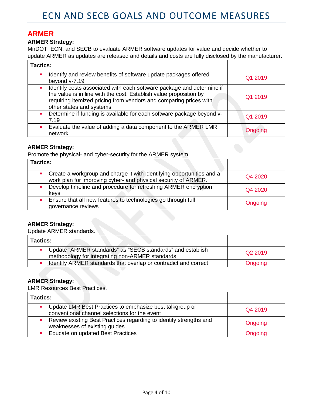## **ARMER**

#### **ARMER Strategy:**

MnDOT, ECN, and SECB to evaluate ARMER software updates for value and decide whether to update ARMER as updates are released and details and costs are fully disclosed by the manufacturer.

| <b>Tactics:</b>                                                                                                                                                                                                                                               |         |
|---------------------------------------------------------------------------------------------------------------------------------------------------------------------------------------------------------------------------------------------------------------|---------|
| Identify and review benefits of software update packages offered<br>п<br>beyond v-7.19                                                                                                                                                                        | Q1 2019 |
| Identify costs associated with each software package and determine if<br>$\mathbf{r}$<br>the value is in line with the cost. Establish value proposition by<br>requiring itemized pricing from vendors and comparing prices with<br>other states and systems. | Q1 2019 |
| Determine if funding is available for each software package beyond v-<br>$\mathbf{r}$<br>7.19                                                                                                                                                                 | Q1 2019 |
| Evaluate the value of adding a data component to the ARMER LMR<br>$\mathbf{r}$<br>network                                                                                                                                                                     | Ongoing |

#### **ARMER Strategy:**

Promote the physical- and cyber-security for the ARMER system.

| Tactics:                                                                                                                                                               |         |
|------------------------------------------------------------------------------------------------------------------------------------------------------------------------|---------|
| Create a workgroup and charge it with identifying opportunities and a<br>$\mathcal{L}_{\mathcal{A}}$<br>work plan for improving cyber- and physical security of ARMER. | Q4 2020 |
| Develop timeline and procedure for refreshing ARMER encryption<br>keys                                                                                                 | Q4 2020 |
| Ensure that all new features to technologies go through full<br>governance reviews                                                                                     | Ongoing |

#### **ARMER Strategy:**

Update ARMER standards.

| <b>Tactics:</b>                                                                                                 |                     |
|-----------------------------------------------------------------------------------------------------------------|---------------------|
| • Update "ARMER standards" as "SECB standards" and establish<br>methodology for integrating non-ARMER standards | Q <sub>2</sub> 2019 |
| Identify ARMER standards that overlap or contradict and correct                                                 | Ongoing             |

#### **ARMER Strategy:**

LMR Resources Best Practices.

| <b>Tactics:</b>                                                                                           |         |
|-----------------------------------------------------------------------------------------------------------|---------|
| Update LMR Best Practices to emphasize best talkgroup or<br>conventional channel selections for the event | Q4 2019 |
| • Review existing Best Practices regarding to identify strengths and<br>weaknesses of existing guides     | Ongoing |
| • Educate on updated Best Practices                                                                       | Ongoing |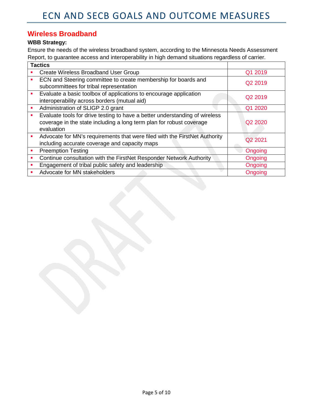#### **Wireless Broadband**

#### **WBB Strategy:**

Ensure the needs of the wireless broadband system, according to the Minnesota Needs Assessment Report, to guarantee access and interoperability in high demand situations regardless of carrier.

|    | <b>Tactics</b>                                                                                                                                                    |                     |
|----|-------------------------------------------------------------------------------------------------------------------------------------------------------------------|---------------------|
|    | Create Wireless Broadband User Group                                                                                                                              | Q1 2019             |
|    | ECN and Steering committee to create membership for boards and<br>subcommittees for tribal representation                                                         | Q <sub>2</sub> 2019 |
|    | Evaluate a basic toolbox of applications to encourage application<br>interoperability across borders (mutual aid)                                                 | Q2 2019             |
| a, | Administration of SLIGP 2.0 grant                                                                                                                                 | Q1 2020             |
|    | Evaluate tools for drive testing to have a better understanding of wireless<br>coverage in the state including a long term plan for robust coverage<br>evaluation | Q2 2020             |
|    | Advocate for MN's requirements that were filed with the FirstNet Authority<br>including accurate coverage and capacity maps                                       | Q2 2021             |
|    | <b>Preemption Testing</b>                                                                                                                                         | Ongoing             |
|    | Continue consultation with the FirstNet Responder Network Authority                                                                                               | Ongoing             |
|    | Engagement of tribal public safety and leadership                                                                                                                 | Ongoing             |
| п  | Advocate for MN stakeholders                                                                                                                                      | Ongoing             |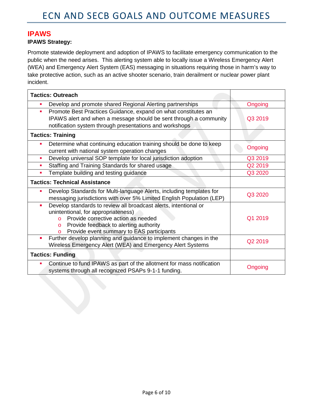#### **IPAWS**

#### **IPAWS Strategy:**

Promote statewide deployment and adoption of IPAWS to facilitate emergency communication to the public when the need arises. This alerting system able to locally issue a Wireless Emergency Alert (WEA) and Emergency Alert System (EAS) messaging in situations requiring those in harm's way to take protective action, such as an active shooter scenario, train derailment or nuclear power plant incident.

|                | <b>Tactics: Outreach</b>                                                                                                                                                                                                                                          |         |
|----------------|-------------------------------------------------------------------------------------------------------------------------------------------------------------------------------------------------------------------------------------------------------------------|---------|
| ٠              | Develop and promote shared Regional Alerting partnerships                                                                                                                                                                                                         | Ongoing |
| ш              | Promote Best Practices Guidance, expand on what constitutes an                                                                                                                                                                                                    | Q3 2019 |
|                | IPAWS alert and when a message should be sent through a community<br>notification system through presentations and workshops                                                                                                                                      |         |
|                | <b>Tactics: Training</b>                                                                                                                                                                                                                                          |         |
|                | Determine what continuing education training should be done to keep<br>current with national system operation changes                                                                                                                                             | Ongoing |
| $\blacksquare$ | Develop universal SOP template for local jurisdiction adoption                                                                                                                                                                                                    | Q3 2019 |
|                | Staffing and Training Standards for shared usage                                                                                                                                                                                                                  | Q2 2019 |
| $\blacksquare$ | Template building and testing guidance                                                                                                                                                                                                                            | Q3 2020 |
|                | <b>Tactics: Technical Assistance</b>                                                                                                                                                                                                                              |         |
| ш              | Develop Standards for Multi-language Alerts, including templates for<br>messaging jurisdictions with over 5% Limited English Population (LEP)                                                                                                                     | Q3 2020 |
| ٠              | Develop standards to review all broadcast alerts, intentional or<br>unintentional, for appropriateness)<br>Provide corrective action as needed<br>$\Omega$<br>Provide feedback to alerting authority<br>$\circ$<br>Provide event summary to EAS participants<br>O | Q1 2019 |
| ٠              | Further develop planning and guidance to implement changes in the<br>Wireless Emergency Alert (WEA) and Emergency Alert Systems                                                                                                                                   | Q2 2019 |
|                | <b>Tactics: Funding</b>                                                                                                                                                                                                                                           |         |
|                | Continue to fund IPAWS as part of the allotment for mass notification<br>systems through all recognized PSAPs 9-1-1 funding.                                                                                                                                      | Ongoing |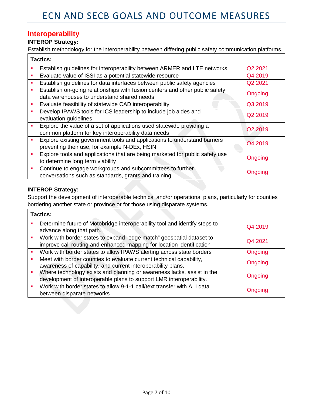# **Interoperability**

#### **INTEROP Strategy:**

Establish methodology for the interoperability between differing public safety communication platforms.

| <b>Tactics:</b> |                                                                                                                              |                     |
|-----------------|------------------------------------------------------------------------------------------------------------------------------|---------------------|
|                 | Establish guidelines for interoperability between ARMER and LTE networks                                                     | Q2 2021             |
| ٠               | Evaluate value of ISSI as a potential statewide resource                                                                     | Q4 2019             |
| п               | Establish guidelines for data interfaces between public safety agencies                                                      | Q2 2021             |
|                 | Establish on-going relationships with fusion centers and other public safety<br>data warehouses to understand shared needs   | Ongoing             |
|                 | Evaluate feasibility of statewide CAD interoperability                                                                       | Q3 2019             |
| ٠               | Develop IPAWS tools for ICS leadership to include job aides and<br>evaluation guidelines                                     | Q <sub>2</sub> 2019 |
| ٠               | Explore the value of a set of applications used statewide providing a<br>common platform for key interoperability data needs | Q2 2019             |
| ٠               | Explore existing government tools and applications to understand barriers<br>preventing their use, for example N-DEx, HSIN   | Q4 2019             |
| ٠               | Explore tools and applications that are being marketed for public safety use<br>to determine long term viability             | Ongoing             |
| ٠               | Continue to engage workgroups and subcommittees to further<br>conversations such as standards, grants and training           | Ongoing             |

#### **INTEROP Strategy:**

Support the development of interoperable technical and/or operational plans, particularly for counties bordering another state or province or for those using disparate systems.

| <b>Tactics:</b> |                                                                                                                                               |         |
|-----------------|-----------------------------------------------------------------------------------------------------------------------------------------------|---------|
|                 | Determine future of Motobridge interoperability tool and identify steps to<br>advance along that path.                                        | Q4 2019 |
|                 | Work with border states to expand "edge match" geospatial dataset to<br>improve call routing and enhanced mapping for location identification | Q4 2021 |
|                 | Work with border states to allow IPAWS alerting across state borders                                                                          | Ongoing |
|                 | Meet with border counties to evaluate current technical capability,<br>awareness of capability, and current interoperability plans.           | Ongoing |
|                 | Where technology exists and planning or awareness lacks, assist in the<br>development of interoperable plans to support LMR interoperability. | Ongoing |
|                 | Work with border states to allow 9-1-1 call/text transfer with ALI data<br>between disparate networks                                         | Ongoing |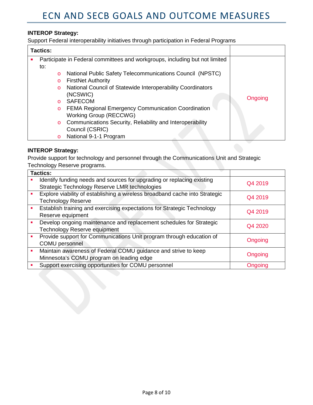#### **INTEROP Strategy:**

Support Federal interoperability initiatives through participation in Federal Programs

| <b>Tactics:</b> |                                                                             |         |
|-----------------|-----------------------------------------------------------------------------|---------|
|                 | Participate in Federal committees and workgroups, including but not limited |         |
| to:             |                                                                             |         |
| $\circ$         | National Public Safety Telecommunications Council (NPSTC)                   |         |
| $\circ$         | <b>FirstNet Authority</b>                                                   |         |
| $\circ$         | National Council of Statewide Interoperability Coordinators                 |         |
|                 | (NCSWIC)                                                                    |         |
| $\Omega$        | <b>SAFECOM</b>                                                              | Ongoing |
| $\circ$         | <b>FEMA Regional Emergency Communication Coordination</b>                   |         |
|                 | Working Group (RECCWG)                                                      |         |
| $\circ$         | Communications Security, Reliability and Interoperability                   |         |
|                 | Council (CSRIC)                                                             |         |
| $\circ$         | National 9-1-1 Program                                                      |         |

#### **INTEROP Strategy:**

Provide support for technology and personnel through the Communications Unit and Strategic Technology Reserve programs.

| <b>Tactics:</b>                                                                                                         |         |
|-------------------------------------------------------------------------------------------------------------------------|---------|
| Identify funding needs and sources for upgrading or replacing existing<br>Strategic Technology Reserve LMR technologies | Q4 2019 |
|                                                                                                                         |         |
| Explore viability of establishing a wireless broadband cache into Strategic                                             | Q4 2019 |
| <b>Technology Reserve</b>                                                                                               |         |
| Establish training and exercising expectations for Strategic Technology                                                 |         |
| Reserve equipment                                                                                                       | Q4 2019 |
| Develop ongoing maintenance and replacement schedules for Strategic                                                     | Q4 2020 |
| <b>Technology Reserve equipment</b>                                                                                     |         |
| Provide support for Communications Unit program through education of                                                    |         |
| <b>COMU</b> personnel                                                                                                   | Ongoing |
| Maintain awareness of Federal COMU guidance and strive to keep                                                          |         |
| Minnesota's COMU program on leading edge                                                                                | Ongoing |
| Support exercising opportunities for COMU personnel                                                                     | Ongoing |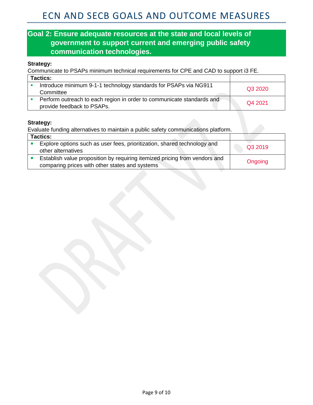# **Goal 2: Ensure adequate resources at the state and local levels of government to support current and emerging public safety communication technologies.**

#### **Strategy:**

Communicate to PSAPs minimum technical requirements for CPE and CAD to support i3 FE.

| <b>Tactics:</b>                                                                                     |         |
|-----------------------------------------------------------------------------------------------------|---------|
| Introduce minimum 9-1-1 technology standards for PSAPs via NG911<br>Committee                       | Q3 2020 |
| Perform outreach to each region in order to communicate standards and<br>provide feedback to PSAPs. | Q4 2021 |

#### **Strategy:**

Evaluate funding alternatives to maintain a public safety communications platform.

| <b>Tactics:</b> |                                                                                                                              |         |
|-----------------|------------------------------------------------------------------------------------------------------------------------------|---------|
|                 | Explore options such as user fees, prioritization, shared technology and<br>other alternatives                               | Q3 2019 |
|                 | Establish value proposition by requiring itemized pricing from vendors and<br>comparing prices with other states and systems | Ongoing |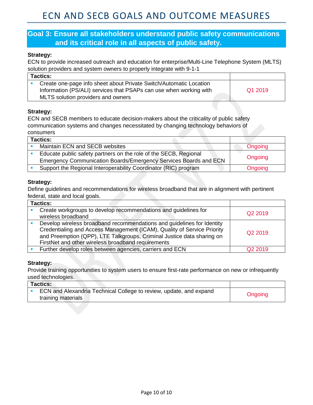#### **Goal 3: Ensure all stakeholders understand public safety communications and its critical role in all aspects of public safety.**

#### **Strategy:**

ECN to provide increased outreach and education for enterprise/Multi-Line Telephone System (MLTS) solution providers and system owners to properly integrate with 9-1-1

| <b>Tactics:</b>                                                    |         |
|--------------------------------------------------------------------|---------|
| Create one-page info sheet about Private Switch/Automatic Location |         |
| Information (PS/ALI) services that PSAPs can use when working with | Q1 2019 |
| MLTS solution providers and owners                                 |         |

#### **Strategy:**

ECN and SECB members to educate decision-makers about the criticality of public safety communication systems and changes necessitated by changing technology behaviors of consumers

| <b>Tactics:</b>                                                                                                                      |         |
|--------------------------------------------------------------------------------------------------------------------------------------|---------|
| Maintain ECN and SECB websites                                                                                                       | Ongoing |
| Educate public safety partners on the role of the SECB, Regional<br>Emergency Communication Boards/Emergency Services Boards and ECN | Ongoing |
| Support the Regional Interoperability Coordinator (RIC) program                                                                      | Ongoing |

#### **Strategy:**

Define guidelines and recommendations for wireless broadband that are in alignment with pertinent federal, state and local goals.

| <b>Tactics:</b>                                                                                                                                                                                                                                                                   |                     |
|-----------------------------------------------------------------------------------------------------------------------------------------------------------------------------------------------------------------------------------------------------------------------------------|---------------------|
| Create workgroups to develop recommendations and guidelines for<br>wireless broadband                                                                                                                                                                                             | Q2 2019             |
| Develop wireless broadband recommendations and guidelines for Identity<br>Credentialing and Access Management (ICAM), Quality of Service Priority<br>and Preemption (QPP), LTE Talkgroups, Criminal Justice data sharing on<br>FirstNet and other wireless broadband requirements | Q <sub>2</sub> 2019 |
| Further develop roles between agencies, carriers and ECN                                                                                                                                                                                                                          | Q <sub>2</sub> 2019 |

#### **Strategy:**

Provide training opportunities to system users to ensure first-rate performance on new or infrequently used technologies.

| <b>Tactics:</b>                                                    |         |
|--------------------------------------------------------------------|---------|
| ECN and Alexandria Technical College to review, update, and expand |         |
| training materials                                                 | Ongoing |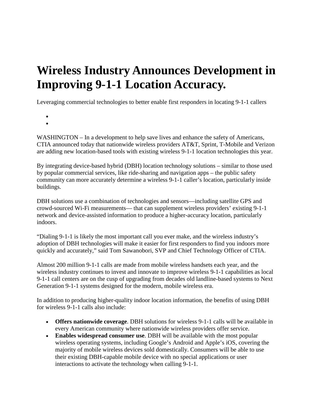# **Wireless Industry Announces Development in Improving 9-1-1 Location Accuracy.**

Leveraging commercial technologies to better enable first responders in locating 9-1-1 callers

- •
- WASHINGTON In a development to help save lives and enhance the safety of Americans, CTIA announced today that nationwide wireless providers AT&T, Sprint, T-Mobile and Verizon are adding new location-based tools with existing wireless 9-1-1 location technologies this year.

By integrating device-based hybrid (DBH) location technology solutions – similar to those used by popular commercial services, like ride-sharing and navigation apps – the public safety community can more accurately determine a wireless 9-1-1 caller's location, particularly inside buildings.

DBH solutions use a combination of technologies and sensors—including satellite GPS and crowd-sourced Wi-Fi measurements— that can supplement wireless providers' existing 9-1-1 network and device-assisted information to produce a higher-accuracy location, particularly indoors.

"Dialing 9-1-1 is likely the most important call you ever make, and the wireless industry's adoption of DBH technologies will make it easier for first responders to find you indoors more quickly and accurately," said Tom Sawanobori, SVP and Chief Technology Officer of CTIA.

Almost 200 million 9-1-1 calls are made from mobile wireless handsets each year, and the wireless industry continues to invest and innovate to improve wireless 9-1-1 capabilities as local 9-1-1 call centers are on the cusp of upgrading from decades old landline-based systems to Next Generation 9-1-1 systems designed for the modern, mobile wireless era.

In addition to producing higher-quality indoor location information, the benefits of using DBH for wireless 9-1-1 calls also include:

- **Offers nationwide coverage**. DBH solutions for wireless 9-1-1 calls will be available in every American community where nationwide wireless providers offer service.
- **Enables widespread consumer use**. DBH will be available with the most popular wireless operating systems, including Google's Android and Apple's iOS, covering the majority of mobile wireless devices sold domestically. Consumers will be able to use their existing DBH-capable mobile device with no special applications or user interactions to activate the technology when calling 9-1-1.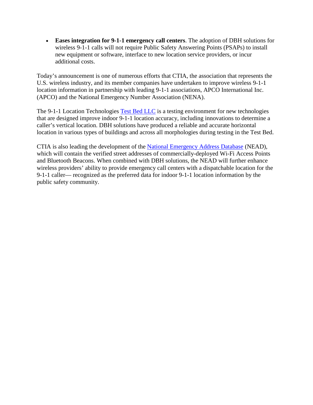• **Eases integration for 9-1-1 emergency call centers**. The adoption of DBH solutions for wireless 9-1-1 calls will not require Public Safety Answering Points (PSAPs) to install new equipment or software, interface to new location service providers, or incur additional costs.

Today's announcement is one of numerous efforts that CTIA, the association that represents the U.S. wireless industry, and its member companies have undertaken to improve wireless 9-1-1 location information in partnership with leading 9-1-1 associations, APCO International Inc. (APCO) and the National Emergency Number Association (NENA).

The 9-1-1 Location Technologies [Test Bed LLC](http://www.911locationtestbed.org/) is a testing environment for new technologies that are designed improve indoor 9-1-1 location accuracy, including innovations to determine a caller's vertical location. DBH solutions have produced a reliable and accurate horizontal location in various types of buildings and across all morphologies during testing in the Test Bed.

CTIA is also leading the development of the [National Emergency Address Database](http://www.911nead.org/) (NEAD), which will contain the verified street addresses of commercially-deployed Wi-Fi Access Points and Bluetooth Beacons. When combined with DBH solutions, the NEAD will further enhance wireless providers' ability to provide emergency call centers with a dispatchable location for the 9-1-1 caller— recognized as the preferred data for indoor 9-1-1 location information by the public safety community.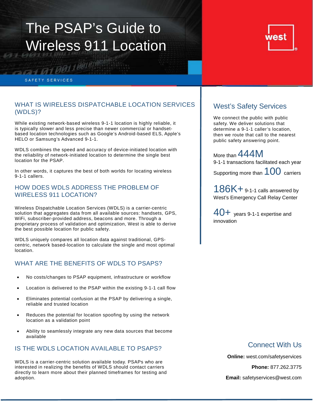# The PSAP's Guide to Wireless 911 Location



#### SAFETY SERVICES

101100110010

#### WHAT IS WIRELESS DISPATCHABLE LOCATION SERVICES (WDLS)?

While existing network-based wireless 9-1-1 location is highly reliable, it is typically slower and less precise than newer commercial or handsetbased location technologies such as Google's Android-based ELS, Apple's HELO or Samsung's Advanced 9-1-1.

WDLS combines the speed and accuracy of device-initiated location with the reliability of network-initiated location to determine the single best location for the PSAP.

In other words, it captures the best of both worlds for locating wireless 9-1-1 callers.

#### HOW DOES WDLS ADDRESS THE PROBLEM OF WIRELESS 911 LOCATION?

Wireless Dispatchable Location Services (WDLS) is a carrier-centric solution that aggregates data from all available sources: handsets, GPS, WiFi, subscriber-provided address, beacons and more. Through a proprietary process of validation and optimization, West is able to derive the best possible location for public safety.

WDLS uniquely compares all location data against traditional, GPScentric, network based-location to calculate the single and most optimal location.

#### WHAT ARE THE BENEFITS OF WDLS TO PSAPS?

- No costs/changes to PSAP equipment, infrastructure or workflow
- Location is delivered to the PSAP within the existing 9-1-1 call flow
- Eliminates potential confusion at the PSAP by delivering a single, reliable and trusted location
- Reduces the potential for location spoofing by using the network location as a validation point
- Ability to seamlessly integrate any new data sources that become available

#### IS THE WDLS LOCATION AVAILABLE TO PSAPS?

WDLS is a carrier-centric solution available today. PSAPs who are interested in realizing the benefits of WDLS should contact carriers directly to learn more about their planned timeframes for testing and adoption.

#### West's Safety Services

We connect the public with public safety. We deliver solutions that determine a 9-1-1 caller's location, then we route that call to the nearest public safety answering point.

More than 444M 9-1-1 transactions facilitated each year

Supporting more than  $100$  carriers

186K+ 9-1-1 calls answered by West's Emergency Call Relay Center

40+ years 9-1-1 expertise and innovation

#### Connect With Us

**Online:** west.com/safetyservices **Phone:** 877.262.3775 **Email:** safetyservices@west.com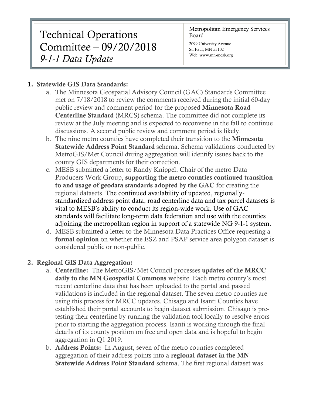# Technical Operations Committee – 09/20/2018 *9-1-1 Data Update*

Metropolitan Emergency Services Board

2099 University Avenue St. Paul, MN 55102 Web: www.mn-mesb.org

## 1. Statewide GIS Data Standards:

- a. The Minnesota Geospatial Advisory Council (GAC) Standards Committee met on 7/18/2018 to review the comments received during the initial 60-day public review and comment period for the proposed Minnesota Road Centerline Standard (MRCS) schema. The committee did not complete its review at the July meeting and is expected to reconvene in the fall to continue discussions. A second public review and comment period is likely.
- b. The nine metro counties have completed their transition to the Minnesota Statewide Address Point Standard schema. Schema validations conducted by MetroGIS/Met Council during aggregation will identify issues back to the county GIS departments for their correction.
- c. MESB submitted a letter to Randy Knippel, Chair of the metro Data Producers Work Group, supporting the metro counties continued transition to and usage of geodata standards adopted by the GAC for creating the regional datasets. The continued availability of updated, regionallystandardized address point data, road centerline data and tax parcel datasets is vital to MESB's ability to conduct its region-wide work. Use of GAC standards will facilitate long-term data federation and use with the counties adjoining the metropolitan region in support of a statewide NG 9-1-1 system.
- d. MESB submitted a letter to the Minnesota Data Practices Office requesting a formal opinion on whether the ESZ and PSAP service area polygon dataset is considered public or non-public.

# 2. Regional GIS Data Aggregation:

- a. Centerline: The MetroGIS/Met Council processes updates of the MRCC daily to the MN Geospatial Commons website. Each metro county's most recent centerline data that has been uploaded to the portal and passed validations is included in the regional dataset. The seven metro counties are using this process for MRCC updates. Chisago and Isanti Counties have established their portal accounts to begin dataset submission. Chisago is pretesting their centerline by running the validation tool locally to resolve errors prior to starting the aggregation process. Isanti is working through the final details of its county position on free and open data and is hopeful to begin aggregation in Q1 2019.
- b. Address Points: In August, seven of the metro counties completed aggregation of their address points into a regional dataset in the MN Statewide Address Point Standard schema. The first regional dataset was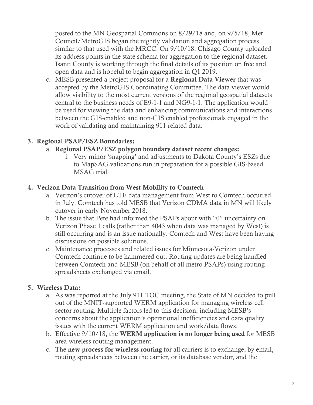posted to the MN Geospatial Commons on 8/29/18 and, on 9/5/18, Met Council/MetroGIS began the nightly validation and aggregation process, similar to that used with the MRCC. On 9/10/18, Chisago County uploaded its address points in the state schema for aggregation to the regional dataset. Isanti County is working through the final details of its position on free and open data and is hopeful to begin aggregation in Q1 2019.

c. MESB presented a project proposal for a Regional Data Viewer that was accepted by the MetroGIS Coordinating Committee. The data viewer would allow visibility to the most current versions of the regional geospatial datasets central to the business needs of E9-1-1 and NG9-1-1. The application would be used for viewing the data and enhancing communications and interactions between the GIS-enabled and non-GIS enabled professionals engaged in the work of validating and maintaining 911 related data.

## 3. Regional PSAP/ESZ Boundaries:

#### a. Regional PSAP/ESZ polygon boundary dataset recent changes:

i. Very minor 'snapping' and adjustments to Dakota County's ESZs due to MapSAG validations run in preparation for a possible GIS-based MSAG trial.

#### 4. Verizon Data Transition from West Mobility to Comtech

- a. Verizon's cutover of LTE data management from West to Comtech occurred in July. Comtech has told MESB that Verizon CDMA data in MN will likely cutover in early November 2018.
- b. The issue that Pete had informed the PSAPs about with "0" uncertainty on Verizon Phase 1 calls (rather than 4043 when data was managed by West) is still occurring and is an issue nationally. Comtech and West have been having discussions on possible solutions.
- c. Maintenance processes and related issues for Minnesota-Verizon under Comtech continue to be hammered out. Routing updates are being handled between Comtech and MESB (on behalf of all metro PSAPs) using routing spreadsheets exchanged via email.

## 5. Wireless Data:

- a. As was reported at the July 911 TOC meeting, the State of MN decided to pull out of the MNIT-supported WERM application for managing wireless cell sector routing. Multiple factors led to this decision, including MESB's concerns about the application's operational inefficiencies and data quality issues with the current WERM application and work/data flows.
- b. Effective 9/10/18, the WERM application is no longer being used for MESB area wireless routing management.
- c. The new process for wireless routing for all carriers is to exchange, by email, routing spreadsheets between the carrier, or its database vendor, and the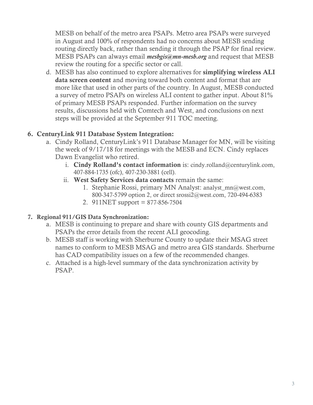MESB on behalf of the metro area PSAPs. Metro area PSAPs were surveyed in August and 100% of respondents had no concerns about MESB sending routing directly back, rather than sending it through the PSAP for final review. MESB PSAPs can always email *mesbgis@mn-mesb.org* and request that MESB review the routing for a specific sector or call.

d. MESB has also continued to explore alternatives for simplifying wireless ALI data screen content and moving toward both content and format that are more like that used in other parts of the country. In August, MESB conducted a survey of metro PSAPs on wireless ALI content to gather input. About 81% of primary MESB PSAPs responded. Further information on the survey results, discussions held with Comtech and West, and conclusions on next steps will be provided at the September 911 TOC meeting.

#### 6. CenturyLink 911 Database System Integration:

- a. Cindy Rolland, CenturyLink's 911 Database Manager for MN, will be visiting the week of 9/17/18 for meetings with the MESB and ECN. Cindy replaces Dawn Evangelist who retired.
	- i. Cindy Rolland's contact information is: cindy.rolland@centurylink.com, 407-884-1735 (ofc), 407-230-3881 (cell).
	- ii. West Safety Services data contacts remain the same:
		- 1. Stephanie Rossi, primary MN Analyst: analyst\_mn@west.com, 800-347-5799 option 2, or direct srossi2@west.com, 720-494-6383
		- 2. 911NET support = 877-856-7504

#### 7. Regional 911/GIS Data Synchronization:

- a. MESB is continuing to prepare and share with county GIS departments and PSAPs the error details from the recent ALI geocoding.
- b. MESB staff is working with Sherburne County to update their MSAG street names to conform to MESB MSAG and metro area GIS standards. Sherburne has CAD compatibility issues on a few of the recommended changes.
- c. Attached is a high-level summary of the data synchronization activity by PSAP.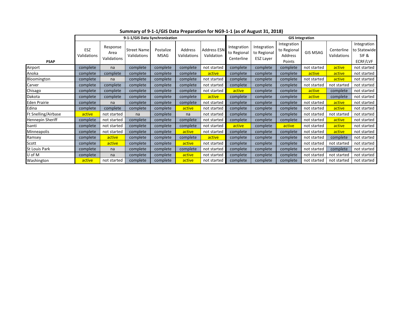|                     | 9-1-1/GIS Data Synchronization |                                 |                                   |                          |                        | <b>GIS Integration</b>    |                                          |                                                |                                                 |                 |                           |                                                 |
|---------------------|--------------------------------|---------------------------------|-----------------------------------|--------------------------|------------------------|---------------------------|------------------------------------------|------------------------------------------------|-------------------------------------------------|-----------------|---------------------------|-------------------------------------------------|
| <b>PSAP</b>         | ESZ<br>Validations             | Response<br>Area<br>Validations | <b>Street Name</b><br>Validations | Postalize<br><b>MSAG</b> | Address<br>Validations | Address ESN<br>Validation | Integration<br>to Regional<br>Centerline | Integration<br>to Regional<br><b>ESZ Layer</b> | Integration<br>to Regional<br>Address<br>Points | <b>GIS MSAG</b> | Centerline<br>Validations | Integration<br>to Statewide<br>SIF&<br>ECRF/LVF |
| Airport             | complete                       | na                              | complete                          | complete                 | complete               | not started               | complete                                 | complete                                       | complete                                        | not started     | active                    | not started                                     |
| Anoka               | complete                       | complete                        | complete                          | complete                 | complete               | active                    | complete                                 | complete                                       | complete                                        | active          | active                    | not started                                     |
| Bloomington         | complete                       | na                              | complete                          | complete                 | complete               | not started               | complete                                 | complete                                       | complete                                        | not started     | active                    | not started                                     |
| Carver              | complete                       | complete                        | complete                          | complete                 | complete               | not started               | complete                                 | complete                                       | complete                                        | not started     | not started               | not started                                     |
| Chisago             | complete                       | complete                        | complete                          | complete                 | complete               | not started               | active                                   | complete                                       | complete                                        | active          | complete                  | not started                                     |
| Dakota              | complete                       | complete                        | complete                          | complete                 | complete               | active                    | complete                                 | complete                                       | complete                                        | active          | complete                  | not started                                     |
| Eden Prairie        | complete                       | na                              | complete                          | complete                 | complete               | not started               | complete                                 | complete                                       | complete                                        | not started     | active                    | not started                                     |
| Edina               | complete                       | complete                        | complete                          | complete                 | active                 | not started               | complete                                 | complete                                       | complete                                        | not started     | active                    | not started                                     |
| Ft Snelling/Airbase | active                         | not started                     | na                                | complete                 | na                     | not started               | complete                                 | complete                                       | complete                                        | not started     | not started               | not started                                     |
| Hennepin Sheriff    | complete                       | not started                     | complete                          | complete                 | complete               | not started               | complete                                 | complete                                       | complete                                        | not started     | active                    | not started                                     |
| Isanti              | complete                       | not started                     | complete                          | complete                 | complete               | not started               | active                                   | complete                                       | active                                          | not started     | active                    | not started                                     |
| Minneapolis         | complete                       | not started                     | complete                          | complete                 | active                 | not started               | complete                                 | complete                                       | complete                                        | not started     | active                    | not started                                     |
| Ramsey              | complete                       | active                          | complete                          | complete                 | complete               | active                    | complete                                 | complete                                       | complete                                        | not started     | complete                  | not started                                     |
| Scott               | complete                       | active                          | complete                          | complete                 | active                 | not started               | complete                                 | complete                                       | complete                                        | not started     | not started               | not started                                     |
| St Louis Park       | complete                       | na                              | complete                          | complete                 | complete               | not started               | complete                                 | complete                                       | complete                                        | not started     | complete                  | not started                                     |
| U of M              | complete                       | na                              | complete                          | complete                 | active                 | not started               | complete                                 | complete                                       | complete                                        | not started     | not started               | not started                                     |
| Washington          | active                         | not started                     | complete                          | complete                 | active                 | not started               | complete                                 | complete                                       | complete                                        | not started     | not started               | not started                                     |

**Summary of 9-1-1/GIS Data Preparation for NG9-1-1 (as of August 31, 2018)**